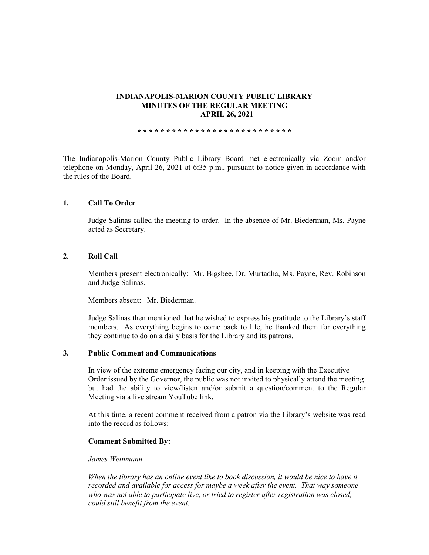## **INDIANAPOLIS-MARION COUNTY PUBLIC LIBRARY MINUTES OF THE REGULAR MEETING APRIL 26, 2021**

**\* \* \* \* \* \* \* \* \* \* \* \* \* \* \* \* \* \* \* \* \* \* \* \* \* \* \***

The Indianapolis-Marion County Public Library Board met electronically via Zoom and/or telephone on Monday, April 26, 2021 at 6:35 p.m., pursuant to notice given in accordance with the rules of the Board.

# **1. Call To Order**

Judge Salinas called the meeting to order. In the absence of Mr. Biederman, Ms. Payne acted as Secretary.

## **2. Roll Call**

Members present electronically: Mr. Bigsbee, Dr. Murtadha, Ms. Payne, Rev. Robinson and Judge Salinas.

Members absent: Mr. Biederman.

Judge Salinas then mentioned that he wished to express his gratitude to the Library's staff members. As everything begins to come back to life, he thanked them for everything they continue to do on a daily basis for the Library and its patrons.

## **3. Public Comment and Communications**

In view of the extreme emergency facing our city, and in keeping with the Executive Order issued by the Governor, the public was not invited to physically attend the meeting but had the ability to view/listen and/or submit a question/comment to the Regular Meeting via a live stream YouTube link.

At this time, a recent comment received from a patron via the Library's website was read into the record as follows:

#### **Comment Submitted By:**

#### *James Weinmann*

*When the library has an online event like to book discussion, it would be nice to have it recorded and available for access for maybe a week after the event. That way someone who was not able to participate live, or tried to register after registration was closed, could still benefit from the event.*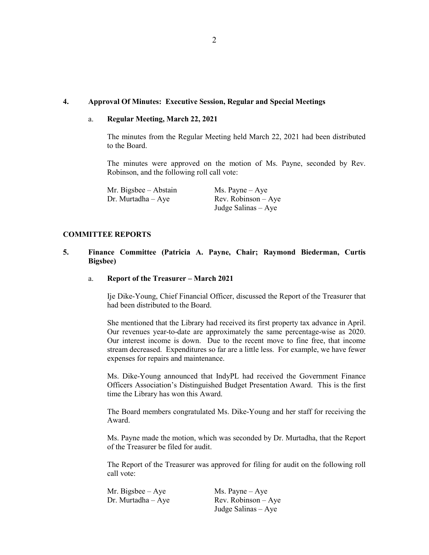## **4. Approval Of Minutes: Executive Session, Regular and Special Meetings**

#### a. **Regular Meeting, March 22, 2021**

The minutes from the Regular Meeting held March 22, 2021 had been distributed to the Board.

The minutes were approved on the motion of Ms. Payne, seconded by Rev. Robinson, and the following roll call vote:

| Mr. Bigsbee – Abstain | $Ms. \text{Payne} - Aye$ |
|-----------------------|--------------------------|
| Dr. Murtadha – Aye    | $Rev. Robinson - Aye$    |
|                       | Judge Salinas – Aye      |

#### **COMMITTEE REPORTS**

# **5. Finance Committee (Patricia A. Payne, Chair; Raymond Biederman, Curtis Bigsbee)**

#### a. **Report of the Treasurer – March 2021**

Ije Dike-Young, Chief Financial Officer, discussed the Report of the Treasurer that had been distributed to the Board.

She mentioned that the Library had received its first property tax advance in April. Our revenues year-to-date are approximately the same percentage-wise as 2020. Our interest income is down. Due to the recent move to fine free, that income stream decreased. Expenditures so far are a little less. For example, we have fewer expenses for repairs and maintenance.

Ms. Dike-Young announced that IndyPL had received the Government Finance Officers Association's Distinguished Budget Presentation Award. This is the first time the Library has won this Award.

The Board members congratulated Ms. Dike-Young and her staff for receiving the Award.

Ms. Payne made the motion, which was seconded by Dr. Murtadha, that the Report of the Treasurer be filed for audit.

The Report of the Treasurer was approved for filing for audit on the following roll call vote:

Mr. Bigsbee – Aye Ms. Payne – Aye

Dr. Murtadha – Aye Rev. Robinson – Aye Judge Salinas – Aye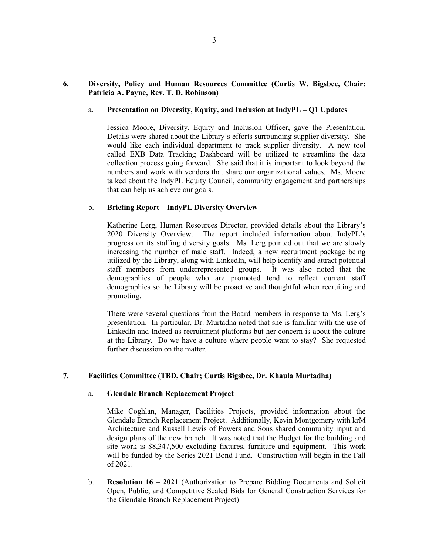# **6. Diversity, Policy and Human Resources Committee (Curtis W. Bigsbee, Chair; Patricia A. Payne, Rev. T. D. Robinson)**

## a. **Presentation on Diversity, Equity, and Inclusion at IndyPL – Q1 Updates**

Jessica Moore, Diversity, Equity and Inclusion Officer, gave the Presentation. Details were shared about the Library's efforts surrounding supplier diversity. She would like each individual department to track supplier diversity. A new tool called EXB Data Tracking Dashboard will be utilized to streamline the data collection process going forward. She said that it is important to look beyond the numbers and work with vendors that share our organizational values. Ms. Moore talked about the IndyPL Equity Council, community engagement and partnerships that can help us achieve our goals.

## b. **Briefing Report – IndyPL Diversity Overview**

Katherine Lerg, Human Resources Director, provided details about the Library's 2020 Diversity Overview. The report included information about IndyPL's progress on its staffing diversity goals. Ms. Lerg pointed out that we are slowly increasing the number of male staff. Indeed, a new recruitment package being utilized by the Library, along with LinkedIn, will help identify and attract potential staff members from underrepresented groups. It was also noted that the demographics of people who are promoted tend to reflect current staff demographics so the Library will be proactive and thoughtful when recruiting and promoting.

There were several questions from the Board members in response to Ms. Lerg's presentation. In particular, Dr. Murtadha noted that she is familiar with the use of LinkedIn and Indeed as recruitment platforms but her concern is about the culture at the Library. Do we have a culture where people want to stay? She requested further discussion on the matter.

# **7. Facilities Committee (TBD, Chair; Curtis Bigsbee, Dr. Khaula Murtadha)**

#### a. **Glendale Branch Replacement Project**

Mike Coghlan, Manager, Facilities Projects, provided information about the Glendale Branch Replacement Project. Additionally, Kevin Montgomery with krM Architecture and Russell Lewis of Powers and Sons shared community input and design plans of the new branch. It was noted that the Budget for the building and site work is \$8,347,500 excluding fixtures, furniture and equipment. This work will be funded by the Series 2021 Bond Fund. Construction will begin in the Fall of 2021.

b. **Resolution 16 – 2021** (Authorization to Prepare Bidding Documents and Solicit Open, Public, and Competitive Sealed Bids for General Construction Services for the Glendale Branch Replacement Project)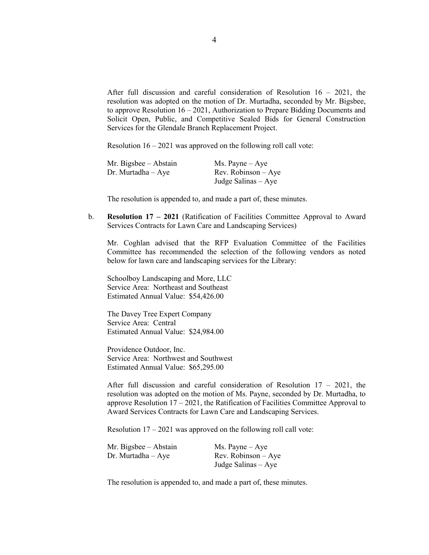After full discussion and careful consideration of Resolution  $16 - 2021$ , the resolution was adopted on the motion of Dr. Murtadha, seconded by Mr. Bigsbee, to approve Resolution 16 – 2021, Authorization to Prepare Bidding Documents and Solicit Open, Public, and Competitive Sealed Bids for General Construction Services for the Glendale Branch Replacement Project.

Resolution 16 – 2021 was approved on the following roll call vote:

| $Mr. Bigsbee - Abstain$ | Ms. Payne $-$ Aye     |
|-------------------------|-----------------------|
| $Dr.$ Murtadha $-$ Aye  | $Rev. Robinson - Ave$ |
|                         | Judge Salinas – Aye   |

The resolution is appended to, and made a part of, these minutes.

b. **Resolution 17 – 2021** (Ratification of Facilities Committee Approval to Award Services Contracts for Lawn Care and Landscaping Services)

Mr. Coghlan advised that the RFP Evaluation Committee of the Facilities Committee has recommended the selection of the following vendors as noted below for lawn care and landscaping services for the Library:

Schoolboy Landscaping and More, LLC Service Area: Northeast and Southeast Estimated Annual Value: \$54,426.00

The Davey Tree Expert Company Service Area: Central Estimated Annual Value: \$24,984.00

Providence Outdoor, Inc. Service Area: Northwest and Southwest Estimated Annual Value: \$65,295.00

After full discussion and careful consideration of Resolution 17 – 2021, the resolution was adopted on the motion of Ms. Payne, seconded by Dr. Murtadha, to approve Resolution 17 – 2021, the Ratification of Facilities Committee Approval to Award Services Contracts for Lawn Care and Landscaping Services.

Resolution 17 – 2021 was approved on the following roll call vote:

| Mr. Bigsbee $-$ Abstain | $Ms. \text{Payne} - Aye$ |
|-------------------------|--------------------------|
| $Dr.$ Murtadha $-Aye$   | $Rev. Robinson - Aye$    |
|                         | Judge Salinas $-$ Aye    |

The resolution is appended to, and made a part of, these minutes.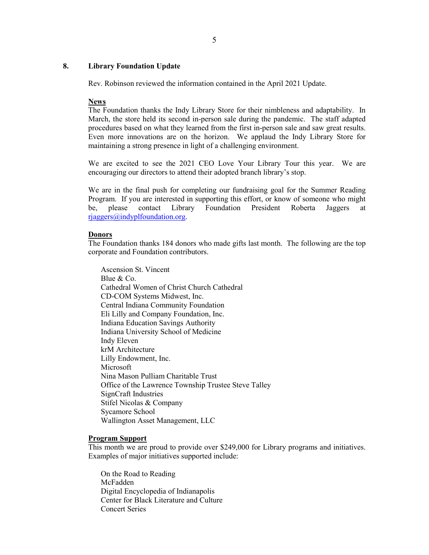### **8. Library Foundation Update**

Rev. Robinson reviewed the information contained in the April 2021 Update.

#### **News**

The Foundation thanks the Indy Library Store for their nimbleness and adaptability. In March, the store held its second in-person sale during the pandemic. The staff adapted procedures based on what they learned from the first in-person sale and saw great results. Even more innovations are on the horizon. We applaud the Indy Library Store for maintaining a strong presence in light of a challenging environment.

We are excited to see the 2021 CEO Love Your Library Tour this year. We are encouraging our directors to attend their adopted branch library's stop.

We are in the final push for completing our fundraising goal for the Summer Reading Program. If you are interested in supporting this effort, or know of someone who might be, please contact Library Foundation President Roberta Jaggers at [rjaggers@indyplfoundation.org.](mailto:rjaggers@indyplfoundation.org)

#### **Donors**

The Foundation thanks 184 donors who made gifts last month. The following are the top corporate and Foundation contributors.

Ascension St. Vincent Blue & Co. Cathedral Women of Christ Church Cathedral CD-COM Systems Midwest, Inc. Central Indiana Community Foundation Eli Lilly and Company Foundation, Inc. Indiana Education Savings Authority Indiana University School of Medicine Indy Eleven krM Architecture Lilly Endowment, Inc. Microsoft Nina Mason Pulliam Charitable Trust Office of the Lawrence Township Trustee Steve Talley SignCraft Industries Stifel Nicolas & Company Sycamore School Wallington Asset Management, LLC

# **Program Support**

This month we are proud to provide over \$249,000 for Library programs and initiatives. Examples of major initiatives supported include:

On the Road to Reading McFadden Digital Encyclopedia of Indianapolis Center for Black Literature and Culture Concert Series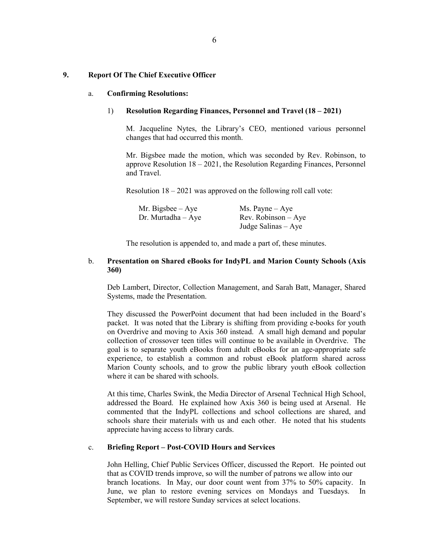## **9. Report Of The Chief Executive Officer**

#### a. **Confirming Resolutions:**

#### 1) **Resolution Regarding Finances, Personnel and Travel (18 – 2021)**

M. Jacqueline Nytes, the Library's CEO, mentioned various personnel changes that had occurred this month.

Mr. Bigsbee made the motion, which was seconded by Rev. Robinson, to approve Resolution 18 – 2021, the Resolution Regarding Finances, Personnel and Travel.

Resolution 18 – 2021 was approved on the following roll call vote:

| Mr. Bigsbee $-$ Aye   | $Ms. \text{Payne} - Aye$ |
|-----------------------|--------------------------|
| $Dr.$ Murtadha $-Aye$ | $Rev. Robinson - Ave$    |
|                       | Judge Salinas $-$ Aye    |

The resolution is appended to, and made a part of, these minutes.

# b. **Presentation on Shared eBooks for IndyPL and Marion County Schools (Axis 360)**

Deb Lambert, Director, Collection Management, and Sarah Batt, Manager, Shared Systems, made the Presentation.

They discussed the PowerPoint document that had been included in the Board's packet. It was noted that the Library is shifting from providing e-books for youth on Overdrive and moving to Axis 360 instead. A small high demand and popular collection of crossover teen titles will continue to be available in Overdrive. The goal is to separate youth eBooks from adult eBooks for an age-appropriate safe experience, to establish a common and robust eBook platform shared across Marion County schools, and to grow the public library youth eBook collection where it can be shared with schools.

At this time, Charles Swink, the Media Director of Arsenal Technical High School, addressed the Board. He explained how Axis 360 is being used at Arsenal. He commented that the IndyPL collections and school collections are shared, and schools share their materials with us and each other. He noted that his students appreciate having access to library cards.

# c. **Briefing Report – Post-COVID Hours and Services**

John Helling, Chief Public Services Officer, discussed the Report. He pointed out that as COVID trends improve, so will the number of patrons we allow into our branch locations. In May, our door count went from 37% to 50% capacity. In June, we plan to restore evening services on Mondays and Tuesdays. In September, we will restore Sunday services at select locations.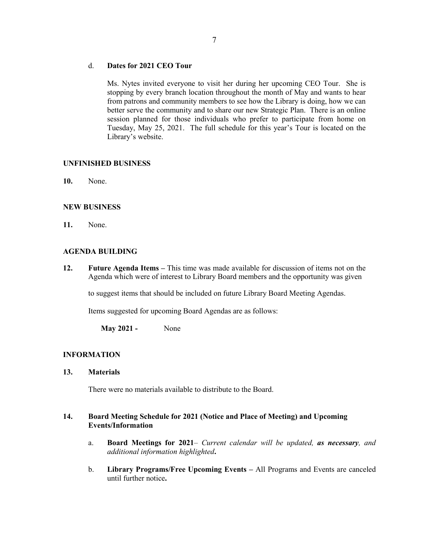## d. **Dates for 2021 CEO Tour**

Ms. Nytes invited everyone to visit her during her upcoming CEO Tour. She is stopping by every branch location throughout the month of May and wants to hear from patrons and community members to see how the Library is doing, how we can better serve the community and to share our new Strategic Plan. There is an online session planned for those individuals who prefer to participate from home on Tuesday, May 25, 2021. The full schedule for this year's Tour is located on the Library's website.

## **UNFINISHED BUSINESS**

**10.** None.

## **NEW BUSINESS**

**11.** None.

## **AGENDA BUILDING**

**12. Future Agenda Items –** This time was made available for discussion of items not on the Agenda which were of interest to Library Board members and the opportunity was given

to suggest items that should be included on future Library Board Meeting Agendas.

Items suggested for upcoming Board Agendas are as follows:

**May 2021 -** None

# **INFORMATION**

**13. Materials** 

There were no materials available to distribute to the Board.

# **14. Board Meeting Schedule for 2021 (Notice and Place of Meeting) and Upcoming Events/Information**

- a. **Board Meetings for 2021***– Current calendar will be updated, as necessary, and additional information highlighted***.**
- b. **Library Programs/Free Upcoming Events –** All Programs and Events are canceled until further notice**.**